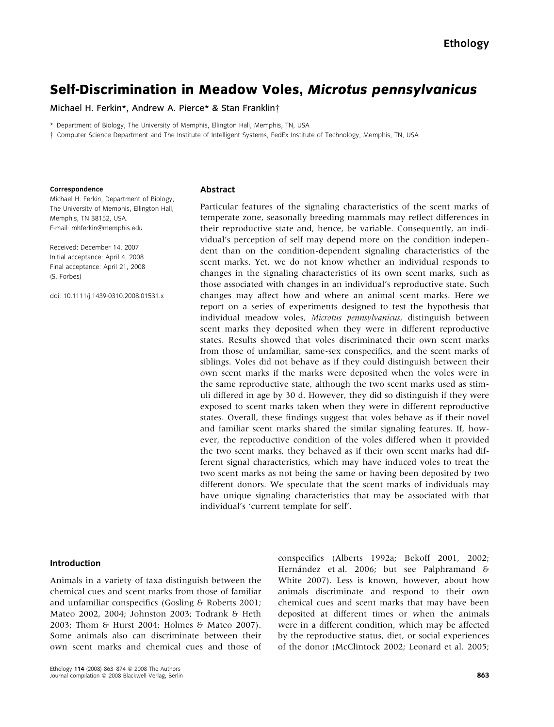# Self-Discrimination in Meadow Voles, Microtus pennsylvanicus

Michael H. Ferkin\*, Andrew A. Pierce\* & Stan Franklin-

\* Department of Biology, The University of Memphis, Ellington Hall, Memphis, TN, USA

- Computer Science Department and The Institute of Intelligent Systems, FedEx Institute of Technology, Memphis, TN, USA

#### Correspondence

Michael H. Ferkin, Department of Biology, The University of Memphis, Ellington Hall, Memphis, TN 38152, USA. E-mail: mhferkin@memphis.edu

Received: December 14, 2007 Initial acceptance: April 4, 2008 Final acceptance: April 21, 2008 (S. Forbes)

doi: 10.1111/j.1439-0310.2008.01531.x

#### Abstract

Particular features of the signaling characteristics of the scent marks of temperate zone, seasonally breeding mammals may reflect differences in their reproductive state and, hence, be variable. Consequently, an individual's perception of self may depend more on the condition independent than on the condition-dependent signaling characteristics of the scent marks. Yet, we do not know whether an individual responds to changes in the signaling characteristics of its own scent marks, such as those associated with changes in an individual's reproductive state. Such changes may affect how and where an animal scent marks. Here we report on a series of experiments designed to test the hypothesis that individual meadow voles, Microtus pennsylvanicus, distinguish between scent marks they deposited when they were in different reproductive states. Results showed that voles discriminated their own scent marks from those of unfamiliar, same-sex conspecifics, and the scent marks of siblings. Voles did not behave as if they could distinguish between their own scent marks if the marks were deposited when the voles were in the same reproductive state, although the two scent marks used as stimuli differed in age by 30 d. However, they did so distinguish if they were exposed to scent marks taken when they were in different reproductive states. Overall, these findings suggest that voles behave as if their novel and familiar scent marks shared the similar signaling features. If, however, the reproductive condition of the voles differed when it provided the two scent marks, they behaved as if their own scent marks had different signal characteristics, which may have induced voles to treat the two scent marks as not being the same or having been deposited by two different donors. We speculate that the scent marks of individuals may have unique signaling characteristics that may be associated with that individual's 'current template for self'.

### Introduction

Animals in a variety of taxa distinguish between the chemical cues and scent marks from those of familiar and unfamiliar conspecifics (Gosling & Roberts 2001; Mateo 2002, 2004; Johnston 2003; Todrank & Heth 2003; Thom & Hurst 2004; Holmes & Mateo 2007). Some animals also can discriminate between their own scent marks and chemical cues and those of

conspecifics (Alberts 1992a; Bekoff 2001, 2002; Hernández et al. 2006; but see Palphramand & White 2007). Less is known, however, about how animals discriminate and respond to their own chemical cues and scent marks that may have been deposited at different times or when the animals were in a different condition, which may be affected by the reproductive status, diet, or social experiences of the donor (McClintock 2002; Leonard et al. 2005;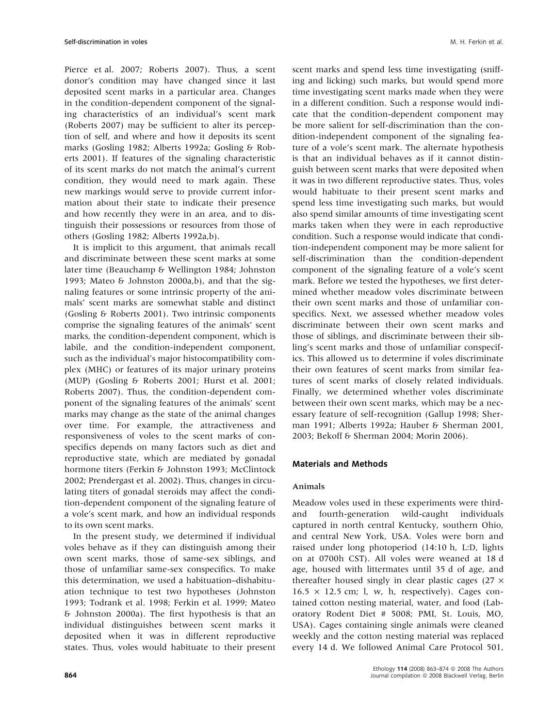Pierce et al. 2007; Roberts 2007). Thus, a scent donor's condition may have changed since it last deposited scent marks in a particular area. Changes in the condition-dependent component of the signaling characteristics of an individual's scent mark (Roberts 2007) may be sufficient to alter its perception of self, and where and how it deposits its scent marks (Gosling 1982; Alberts 1992a; Gosling & Roberts 2001). If features of the signaling characteristic of its scent marks do not match the animal's current condition, they would need to mark again. These new markings would serve to provide current information about their state to indicate their presence and how recently they were in an area, and to distinguish their possessions or resources from those of others (Gosling 1982; Alberts 1992a,b).

It is implicit to this argument, that animals recall and discriminate between these scent marks at some later time (Beauchamp & Wellington 1984; Johnston 1993; Mateo & Johnston 2000a,b), and that the signaling features or some intrinsic property of the animals' scent marks are somewhat stable and distinct (Gosling & Roberts 2001). Two intrinsic components comprise the signaling features of the animals' scent marks, the condition-dependent component, which is labile, and the condition-independent component, such as the individual's major histocompatibility complex (MHC) or features of its major urinary proteins (MUP) (Gosling & Roberts 2001; Hurst et al. 2001; Roberts 2007). Thus, the condition-dependent component of the signaling features of the animals' scent marks may change as the state of the animal changes over time. For example, the attractiveness and responsiveness of voles to the scent marks of conspecifics depends on many factors such as diet and reproductive state, which are mediated by gonadal hormone titers (Ferkin & Johnston 1993; McClintock 2002; Prendergast et al. 2002). Thus, changes in circulating titers of gonadal steroids may affect the condition-dependent component of the signaling feature of a vole's scent mark, and how an individual responds to its own scent marks.

In the present study, we determined if individual voles behave as if they can distinguish among their own scent marks, those of same-sex siblings, and those of unfamiliar same-sex conspecifics. To make this determination, we used a habituation–dishabituation technique to test two hypotheses (Johnston 1993; Todrank et al. 1998; Ferkin et al. 1999; Mateo & Johnston 2000a). The first hypothesis is that an individual distinguishes between scent marks it deposited when it was in different reproductive states. Thus, voles would habituate to their present scent marks and spend less time investigating (sniffing and licking) such marks, but would spend more time investigating scent marks made when they were in a different condition. Such a response would indicate that the condition-dependent component may be more salient for self-discrimination than the condition-independent component of the signaling feature of a vole's scent mark. The alternate hypothesis is that an individual behaves as if it cannot distinguish between scent marks that were deposited when it was in two different reproductive states. Thus, voles would habituate to their present scent marks and spend less time investigating such marks, but would also spend similar amounts of time investigating scent marks taken when they were in each reproductive condition. Such a response would indicate that condition-independent component may be more salient for self-discrimination than the condition-dependent component of the signaling feature of a vole's scent mark. Before we tested the hypotheses, we first determined whether meadow voles discriminate between their own scent marks and those of unfamiliar conspecifics. Next, we assessed whether meadow voles discriminate between their own scent marks and those of siblings, and discriminate between their sibling's scent marks and those of unfamiliar conspecifics. This allowed us to determine if voles discriminate their own features of scent marks from similar features of scent marks of closely related individuals. Finally, we determined whether voles discriminate between their own scent marks, which may be a necessary feature of self-recognition (Gallup 1998; Sherman 1991; Alberts 1992a; Hauber & Sherman 2001, 2003; Bekoff & Sherman 2004; Morin 2006).

## Materials and Methods

### Animals

Meadow voles used in these experiments were thirdand fourth-generation wild-caught individuals captured in north central Kentucky, southern Ohio, and central New York, USA. Voles were born and raised under long photoperiod (14:10 h, L:D, lights on at 0700h CST). All voles were weaned at 18 d age, housed with littermates until 35 d of age, and thereafter housed singly in clear plastic cages (27  $\times$  $16.5 \times 12.5$  cm; l, w, h, respectively). Cages contained cotton nesting material, water, and food (Laboratory Rodent Diet # 5008; PMI, St. Louis, MO, USA). Cages containing single animals were cleaned weekly and the cotton nesting material was replaced every 14 d. We followed Animal Care Protocol 501,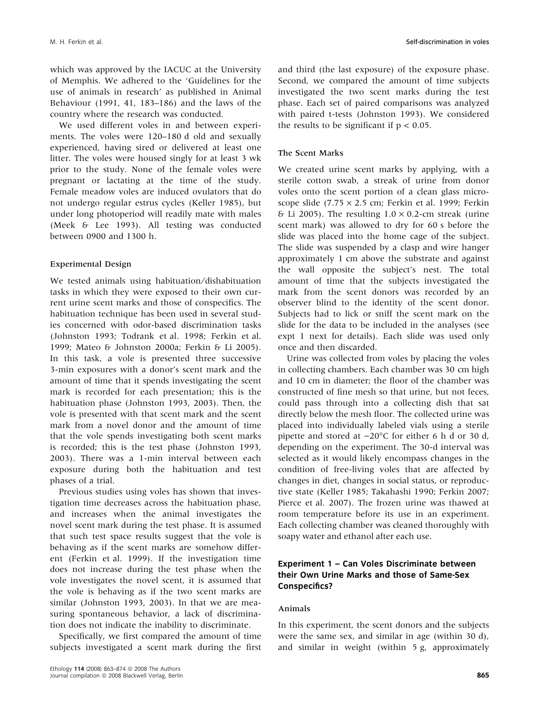which was approved by the IACUC at the University of Memphis. We adhered to the 'Guidelines for the use of animals in research' as published in Animal Behaviour (1991, 41, 183–186) and the laws of the country where the research was conducted.

We used different voles in and between experiments. The voles were 120–180 d old and sexually experienced, having sired or delivered at least one litter. The voles were housed singly for at least 3 wk prior to the study. None of the female voles were pregnant or lactating at the time of the study. Female meadow voles are induced ovulators that do not undergo regular estrus cycles (Keller 1985), but under long photoperiod will readily mate with males (Meek & Lee 1993). All testing was conducted between 0900 and 1300 h.

### Experimental Design

We tested animals using habituation/dishabituation tasks in which they were exposed to their own current urine scent marks and those of conspecifics. The habituation technique has been used in several studies concerned with odor-based discrimination tasks (Johnston 1993; Todrank et al. 1998; Ferkin et al. 1999; Mateo & Johnston 2000a; Ferkin & Li 2005). In this task, a vole is presented three successive 3-min exposures with a donor's scent mark and the amount of time that it spends investigating the scent mark is recorded for each presentation; this is the habituation phase (Johnston 1993, 2003). Then, the vole is presented with that scent mark and the scent mark from a novel donor and the amount of time that the vole spends investigating both scent marks is recorded; this is the test phase (Johnston 1993, 2003). There was a 1-min interval between each exposure during both the habituation and test phases of a trial.

Previous studies using voles has shown that investigation time decreases across the habituation phase, and increases when the animal investigates the novel scent mark during the test phase. It is assumed that such test space results suggest that the vole is behaving as if the scent marks are somehow different (Ferkin et al. 1999). If the investigation time does not increase during the test phase when the vole investigates the novel scent, it is assumed that the vole is behaving as if the two scent marks are similar (Johnston 1993, 2003). In that we are measuring spontaneous behavior, a lack of discrimination does not indicate the inability to discriminate.

Specifically, we first compared the amount of time subjects investigated a scent mark during the first

and third (the last exposure) of the exposure phase. Second, we compared the amount of time subjects investigated the two scent marks during the test phase. Each set of paired comparisons was analyzed with paired t-tests (Johnston 1993). We considered the results to be significant if  $p < 0.05$ .

# The Scent Marks

We created urine scent marks by applying, with a sterile cotton swab, a streak of urine from donor voles onto the scent portion of a clean glass microscope slide (7.75  $\times$  2.5 cm; Ferkin et al. 1999; Ferkin  $\&$  Li 2005). The resulting  $1.0 \times 0.2$ -cm streak (urine scent mark) was allowed to dry for 60 s before the slide was placed into the home cage of the subject. The slide was suspended by a clasp and wire hanger approximately 1 cm above the substrate and against the wall opposite the subject's nest. The total amount of time that the subjects investigated the mark from the scent donors was recorded by an observer blind to the identity of the scent donor. Subjects had to lick or sniff the scent mark on the slide for the data to be included in the analyses (see expt 1 next for details). Each slide was used only once and then discarded.

Urine was collected from voles by placing the voles in collecting chambers. Each chamber was 30 cm high and 10 cm in diameter; the floor of the chamber was constructed of fine mesh so that urine, but not feces, could pass through into a collecting dish that sat directly below the mesh floor. The collected urine was placed into individually labeled vials using a sterile pipette and stored at  $-20^{\circ}$ C for either 6 h d or 30 d, depending on the experiment. The 30-d interval was selected as it would likely encompass changes in the condition of free-living voles that are affected by changes in diet, changes in social status, or reproductive state (Keller 1985; Takahashi 1990; Ferkin 2007; Pierce et al. 2007). The frozen urine was thawed at room temperature before its use in an experiment. Each collecting chamber was cleaned thoroughly with soapy water and ethanol after each use.

# Experiment 1 – Can Voles Discriminate between their Own Urine Marks and those of Same-Sex Conspecifics?

### Animals

In this experiment, the scent donors and the subjects were the same sex, and similar in age (within 30 d), and similar in weight (within 5 g, approximately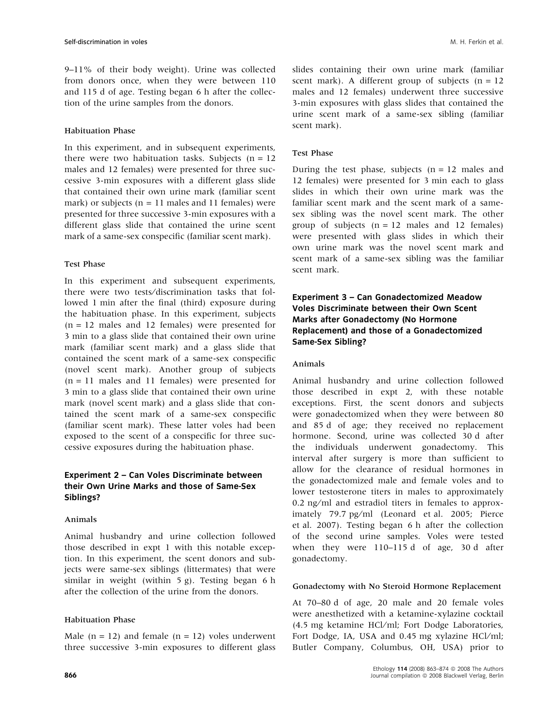9–11% of their body weight). Urine was collected from donors once, when they were between 110 and 115 d of age. Testing began 6 h after the collection of the urine samples from the donors.

### Habituation Phase

In this experiment, and in subsequent experiments, there were two habituation tasks. Subjects  $(n = 12)$ males and 12 females) were presented for three successive 3-min exposures with a different glass slide that contained their own urine mark (familiar scent mark) or subjects ( $n = 11$  males and 11 females) were presented for three successive 3-min exposures with a different glass slide that contained the urine scent mark of a same-sex conspecific (familiar scent mark).

### Test Phase

In this experiment and subsequent experiments, there were two tests⁄ discrimination tasks that followed 1 min after the final (third) exposure during the habituation phase. In this experiment, subjects  $(n = 12$  males and 12 females) were presented for 3 min to a glass slide that contained their own urine mark (familiar scent mark) and a glass slide that contained the scent mark of a same-sex conspecific (novel scent mark). Another group of subjects  $(n = 11$  males and 11 females) were presented for 3 min to a glass slide that contained their own urine mark (novel scent mark) and a glass slide that contained the scent mark of a same-sex conspecific (familiar scent mark). These latter voles had been exposed to the scent of a conspecific for three successive exposures during the habituation phase.

# Experiment 2 – Can Voles Discriminate between their Own Urine Marks and those of Same-Sex Siblings?

### Animals

Animal husbandry and urine collection followed those described in expt 1 with this notable exception. In this experiment, the scent donors and subjects were same-sex siblings (littermates) that were similar in weight (within 5 g). Testing began 6 h after the collection of the urine from the donors.

# Habituation Phase

Male  $(n = 12)$  and female  $(n = 12)$  voles underwent three successive 3-min exposures to different glass slides containing their own urine mark (familiar scent mark). A different group of subjects  $(n = 12)$ males and 12 females) underwent three successive 3-min exposures with glass slides that contained the urine scent mark of a same-sex sibling (familiar scent mark).

### Test Phase

During the test phase, subjects  $(n = 12$  males and 12 females) were presented for 3 min each to glass slides in which their own urine mark was the familiar scent mark and the scent mark of a samesex sibling was the novel scent mark. The other group of subjects  $(n = 12 \text{ males and } 12 \text{ females})$ were presented with glass slides in which their own urine mark was the novel scent mark and scent mark of a same-sex sibling was the familiar scent mark.

# Experiment 3 – Can Gonadectomized Meadow Voles Discriminate between their Own Scent Marks after Gonadectomy (No Hormone Replacement) and those of a Gonadectomized Same-Sex Sibling?

# Animals

Animal husbandry and urine collection followed those described in expt 2, with these notable exceptions. First, the scent donors and subjects were gonadectomized when they were between 80 and 85 d of age; they received no replacement hormone. Second, urine was collected 30 d after the individuals underwent gonadectomy. This interval after surgery is more than sufficient to allow for the clearance of residual hormones in the gonadectomized male and female voles and to lower testosterone titers in males to approximately  $0.2$  ng/ml and estradiol titers in females to approximately 79.7 pg/ml (Leonard et al. 2005; Pierce et al. 2007). Testing began 6 h after the collection of the second urine samples. Voles were tested when they were 110–115 d of age, 30 d after gonadectomy.

### Gonadectomy with No Steroid Hormone Replacement

At 70–80 d of age, 20 male and 20 female voles were anesthetized with a ketamine-xylazine cocktail  $(4.5 \text{ mg}$  ketamine HCl/ml; Fort Dodge Laboratories, Fort Dodge, IA, USA and 0.45 mg xylazine HCl/ml; Butler Company, Columbus, OH, USA) prior to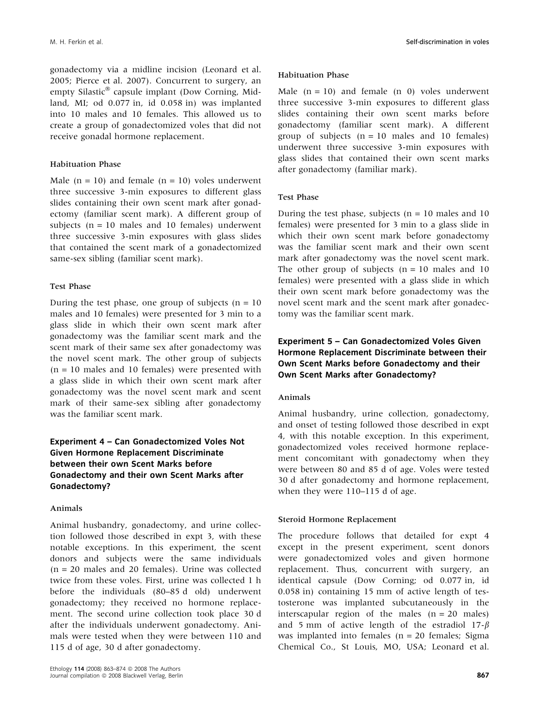gonadectomy via a midline incision (Leonard et al. 2005; Pierce et al. 2007). Concurrent to surgery, an empty Silastic $^{\circledR}$  capsule implant (Dow Corning, Midland, MI; od 0.077 in, id 0.058 in) was implanted into 10 males and 10 females. This allowed us to create a group of gonadectomized voles that did not receive gonadal hormone replacement.

### Habituation Phase

Male ( $n = 10$ ) and female ( $n = 10$ ) voles underwent three successive 3-min exposures to different glass slides containing their own scent mark after gonadectomy (familiar scent mark). A different group of subjects ( $n = 10$  males and 10 females) underwent three successive 3-min exposures with glass slides that contained the scent mark of a gonadectomized same-sex sibling (familiar scent mark).

### Test Phase

During the test phase, one group of subjects ( $n = 10$ ) males and 10 females) were presented for 3 min to a glass slide in which their own scent mark after gonadectomy was the familiar scent mark and the scent mark of their same sex after gonadectomy was the novel scent mark. The other group of subjects  $(n = 10$  males and 10 females) were presented with a glass slide in which their own scent mark after gonadectomy was the novel scent mark and scent mark of their same-sex sibling after gonadectomy was the familiar scent mark.

# Experiment 4 – Can Gonadectomized Voles Not Given Hormone Replacement Discriminate between their own Scent Marks before Gonadectomy and their own Scent Marks after Gonadectomy?

#### Animals

Animal husbandry, gonadectomy, and urine collection followed those described in expt 3, with these notable exceptions. In this experiment, the scent donors and subjects were the same individuals (n = 20 males and 20 females). Urine was collected twice from these voles. First, urine was collected 1 h before the individuals (80–85 d old) underwent gonadectomy; they received no hormone replacement. The second urine collection took place 30 d after the individuals underwent gonadectomy. Animals were tested when they were between 110 and 115 d of age, 30 d after gonadectomy.

### Habituation Phase

Male  $(n = 10)$  and female  $(n \ 0)$  voles underwent three successive 3-min exposures to different glass slides containing their own scent marks before gonadectomy (familiar scent mark). A different group of subjects  $(n = 10 \text{ males and } 10 \text{ females})$ underwent three successive 3-min exposures with glass slides that contained their own scent marks after gonadectomy (familiar mark).

### Test Phase

During the test phase, subjects ( $n = 10$  males and 10 females) were presented for 3 min to a glass slide in which their own scent mark before gonadectomy was the familiar scent mark and their own scent mark after gonadectomy was the novel scent mark. The other group of subjects  $(n = 10 \text{ males and } 10$ females) were presented with a glass slide in which their own scent mark before gonadectomy was the novel scent mark and the scent mark after gonadectomy was the familiar scent mark.

# Experiment 5 – Can Gonadectomized Voles Given Hormone Replacement Discriminate between their Own Scent Marks before Gonadectomy and their Own Scent Marks after Gonadectomy?

#### Animals

Animal husbandry, urine collection, gonadectomy, and onset of testing followed those described in expt 4, with this notable exception. In this experiment, gonadectomized voles received hormone replacement concomitant with gonadectomy when they were between 80 and 85 d of age. Voles were tested 30 d after gonadectomy and hormone replacement, when they were 110–115 d of age.

## Steroid Hormone Replacement

The procedure follows that detailed for expt 4 except in the present experiment, scent donors were gonadectomized voles and given hormone replacement. Thus, concurrent with surgery, an identical capsule (Dow Corning; od 0.077 in, id 0.058 in) containing 15 mm of active length of testosterone was implanted subcutaneously in the interscapular region of the males  $(n = 20$  males) and 5 mm of active length of the estradiol 17- $\beta$ was implanted into females ( $n = 20$  females; Sigma Chemical Co., St Louis, MO, USA; Leonard et al.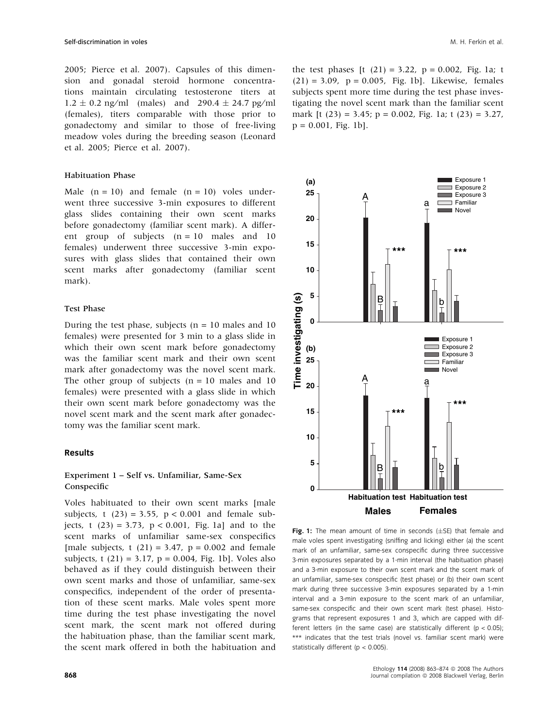2005; Pierce et al. 2007). Capsules of this dimension and gonadal steroid hormone concentrations maintain circulating testosterone titers at  $1.2 \pm 0.2$  ng/ml (males) and  $290.4 \pm 24.7$  pg/ml (females), titers comparable with those prior to gonadectomy and similar to those of free-living meadow voles during the breeding season (Leonard et al. 2005; Pierce et al. 2007).

### Habituation Phase

Male  $(n = 10)$  and female  $(n = 10)$  voles underwent three successive 3-min exposures to different glass slides containing their own scent marks before gonadectomy (familiar scent mark). A different group of subjects  $(n = 10$  males and 10 females) underwent three successive 3-min exposures with glass slides that contained their own scent marks after gonadectomy (familiar scent mark).

### Test Phase

During the test phase, subjects ( $n = 10$  males and 10 females) were presented for 3 min to a glass slide in which their own scent mark before gonadectomy was the familiar scent mark and their own scent mark after gonadectomy was the novel scent mark. The other group of subjects  $(n = 10$  males and 10 females) were presented with a glass slide in which their own scent mark before gonadectomy was the novel scent mark and the scent mark after gonadectomy was the familiar scent mark.

# Results

# Experiment 1 – Self vs. Unfamiliar, Same-Sex Conspecific

Voles habituated to their own scent marks [male subjects, t  $(23) = 3.55$ ,  $p < 0.001$  and female subjects, t  $(23) = 3.73$ ,  $p < 0.001$ , Fig. 1a] and to the scent marks of unfamiliar same-sex conspecifics [male subjects, t  $(21) = 3.47$ ,  $p = 0.002$  and female subjects, t  $(21) = 3.17$ ,  $p = 0.004$ , Fig. 1b]. Voles also behaved as if they could distinguish between their own scent marks and those of unfamiliar, same-sex conspecifics, independent of the order of presentation of these scent marks. Male voles spent more time during the test phase investigating the novel scent mark, the scent mark not offered during the habituation phase, than the familiar scent mark, the scent mark offered in both the habituation and the test phases  $[t (21) = 3.22, p = 0.002, Fig. 1a; t]$  $(21) = 3.09$ ,  $p = 0.005$ , Fig. 1b]. Likewise, females subjects spent more time during the test phase investigating the novel scent mark than the familiar scent mark  $[t (23) = 3.45; p = 0.002, Fig. 1a; t (23) = 3.27,$  $p = 0.001$ , Fig. 1b].



Fig. 1: The mean amount of time in seconds  $(\pm S E)$  that female and male voles spent investigating (sniffing and licking) either (a) the scent mark of an unfamiliar, same-sex conspecific during three successive 3-min exposures separated by a 1-min interval (the habituation phase) and a 3-min exposure to their own scent mark and the scent mark of an unfamiliar, same-sex conspecific (test phase) or (b) their own scent mark during three successive 3-min exposures separated by a 1-min interval and a 3-min exposure to the scent mark of an unfamiliar, same-sex conspecific and their own scent mark (test phase). Histograms that represent exposures 1 and 3, which are capped with different letters (in the same case) are statistically different ( $p < 0.05$ ); \*\*\* indicates that the test trials (novel vs. familiar scent mark) were statistically different (p < 0.005).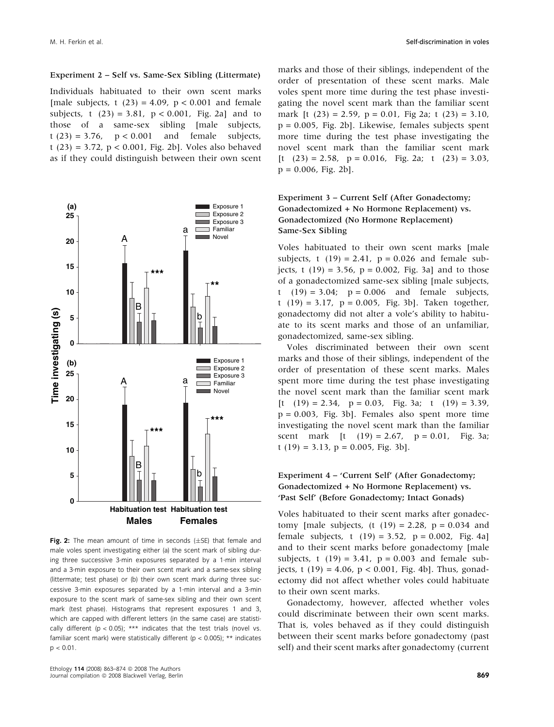#### Experiment 2 – Self vs. Same-Sex Sibling (Littermate)

Individuals habituated to their own scent marks [male subjects, t  $(23) = 4.09$ ,  $p < 0.001$  and female subjects, t  $(23) = 3.81$ ,  $p < 0.001$ . Fig. 2al and to those of a same-sex sibling [male subjects, t (23) = 3.76,  $p < 0.001$  and female subjects, t (23) = 3.72, p < 0.001, Fig. 2b]. Voles also behaved as if they could distinguish between their own scent



Fig. 2: The mean amount of time in seconds ( $\pm$ SE) that female and male voles spent investigating either (a) the scent mark of sibling during three successive 3-min exposures separated by a 1-min interval and a 3-min exposure to their own scent mark and a same-sex sibling (littermate; test phase) or (b) their own scent mark during three successive 3-min exposures separated by a 1-min interval and a 3-min exposure to the scent mark of same-sex sibling and their own scent mark (test phase). Histograms that represent exposures 1 and 3, which are capped with different letters (in the same case) are statistically different ( $p < 0.05$ ); \*\*\* indicates that the test trials (novel vs. familiar scent mark) were statistically different ( $p < 0.005$ ); \*\* indicates  $p < 0.01$ .

marks and those of their siblings, independent of the order of presentation of these scent marks. Male voles spent more time during the test phase investigating the novel scent mark than the familiar scent mark  $[t (23) = 2.59, p = 0.01, Fig 2a; t (23) = 3.10,$  $p = 0.005$ , Fig. 2b]. Likewise, females subjects spent more time during the test phase investigating the novel scent mark than the familiar scent mark  $[t (23) = 2.58, p = 0.016, Fig. 2a; t (23) = 3.03,$  $p = 0.006$ , Fig. 2b].

# Experiment 3 – Current Self (After Gonadectomy; Gonadectomized + No Hormone Replacement) vs. Gonadectomized (No Hormone Replacement) Same-Sex Sibling

Voles habituated to their own scent marks [male subjects, t  $(19) = 2.41$ ,  $p = 0.026$  and female subjects, t  $(19) = 3.56$ ,  $p = 0.002$ , Fig. 3a] and to those of a gonadectomized same-sex sibling [male subjects, t  $(19) = 3.04$ ;  $p = 0.006$  and female subjects, t  $(19) = 3.17$ ,  $p = 0.005$ , Fig. 3b]. Taken together, gonadectomy did not alter a vole's ability to habituate to its scent marks and those of an unfamiliar, gonadectomized, same-sex sibling.

Voles discriminated between their own scent marks and those of their siblings, independent of the order of presentation of these scent marks. Males spent more time during the test phase investigating the novel scent mark than the familiar scent mark  $[t (19) = 2.34, p = 0.03, Fig. 3a; t (19) = 3.39,$  $p = 0.003$ , Fig. 3b]. Females also spent more time investigating the novel scent mark than the familiar scent mark  $[t (19) = 2.67, p = 0.01, Fig. 3a;$ t  $(19) = 3.13$ ,  $p = 0.005$ , Fig. 3b].

# Experiment 4 – 'Current Self' (After Gonadectomy; Gonadectomized + No Hormone Replacement) vs. 'Past Self' (Before Gonadectomy; Intact Gonads)

Voles habituated to their scent marks after gonadectomy [male subjects,  $(t (19) = 2.28, p = 0.034$  and female subjects, t  $(19) = 3.52$ ,  $p = 0.002$ , Fig. 4a] and to their scent marks before gonadectomy [male subjects, t  $(19) = 3.41$ ,  $p = 0.003$  and female subjects, t (19) = 4.06,  $p < 0.001$ , Fig. 4b]. Thus, gonadectomy did not affect whether voles could habituate to their own scent marks.

Gonadectomy, however, affected whether voles could discriminate between their own scent marks. That is, voles behaved as if they could distinguish between their scent marks before gonadectomy (past self) and their scent marks after gonadectomy (current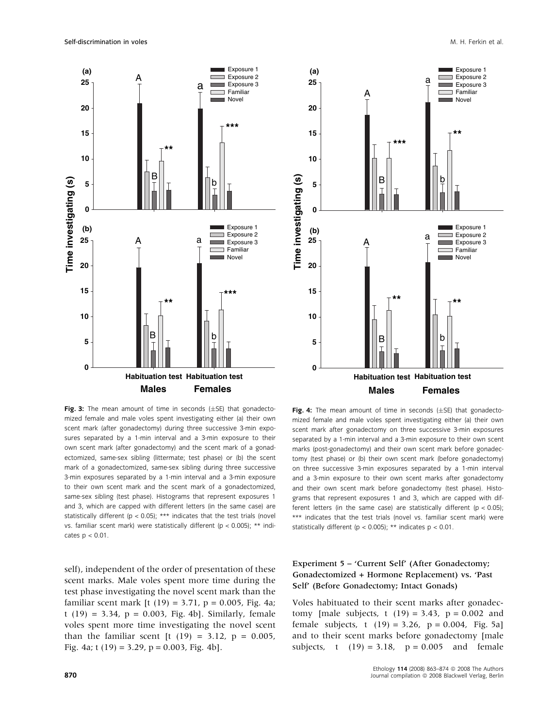

**Fig. 3:** The mean amount of time in seconds  $(\pm$ SE) that gonadectomized female and male voles spent investigating either (a) their own scent mark (after gonadectomy) during three successive 3-min exposures separated by a 1-min interval and a 3-min exposure to their own scent mark (after gonadectomy) and the scent mark of a gonadectomized, same-sex sibling (littermate; test phase) or (b) the scent mark of a gonadectomized, same-sex sibling during three successive 3-min exposures separated by a 1-min interval and a 3-min exposure to their own scent mark and the scent mark of a gonadectomized, same-sex sibling (test phase). Histograms that represent exposures 1 and 3, which are capped with different letters (in the same case) are statistically different ( $p < 0.05$ ); \*\*\* indicates that the test trials (novel vs. familiar scent mark) were statistically different (p <  $0.005$ ); \*\* indicates  $p < 0.01$ .

self), independent of the order of presentation of these scent marks. Male voles spent more time during the test phase investigating the novel scent mark than the familiar scent mark  $[t (19) = 3.71, p = 0.005, Fig. 4a;$ t (19) = 3.34,  $p = 0.003$ , Fig. 4b]. Similarly, female voles spent more time investigating the novel scent than the familiar scent [t  $(19) = 3.12$ ,  $p = 0.005$ , Fig. 4a; t (19) = 3.29, p = 0.003, Fig. 4b].



**Fig. 4:** The mean amount of time in seconds  $(\pm SE)$  that gonadectomized female and male voles spent investigating either (a) their own scent mark after gonadectomy on three successive 3-min exposures separated by a 1-min interval and a 3-min exposure to their own scent marks (post-gonadectomy) and their own scent mark before gonadectomy (test phase) or (b) their own scent mark (before gonadectomy) on three successive 3-min exposures separated by a 1-min interval and a 3-min exposure to their own scent marks after gonadectomy and their own scent mark before gonadectomy (test phase). Histograms that represent exposures 1 and 3, which are capped with different letters (in the same case) are statistically different ( $p < 0.05$ ); \*\*\* indicates that the test trials (novel vs. familiar scent mark) were statistically different ( $p < 0.005$ ); \*\* indicates  $p < 0.01$ .

# Experiment 5 – 'Current Self' (After Gonadectomy; Gonadectomized + Hormone Replacement) vs. 'Past Self' (Before Gonadectomy; Intact Gonads)

Voles habituated to their scent marks after gonadectomy [male subjects, t  $(19) = 3.43$ ,  $p = 0.002$  and female subjects, t  $(19) = 3.26$ ,  $p = 0.004$ , Fig. 5a] and to their scent marks before gonadectomy [male subjects, t  $(19) = 3.18$ ,  $p = 0.005$  and female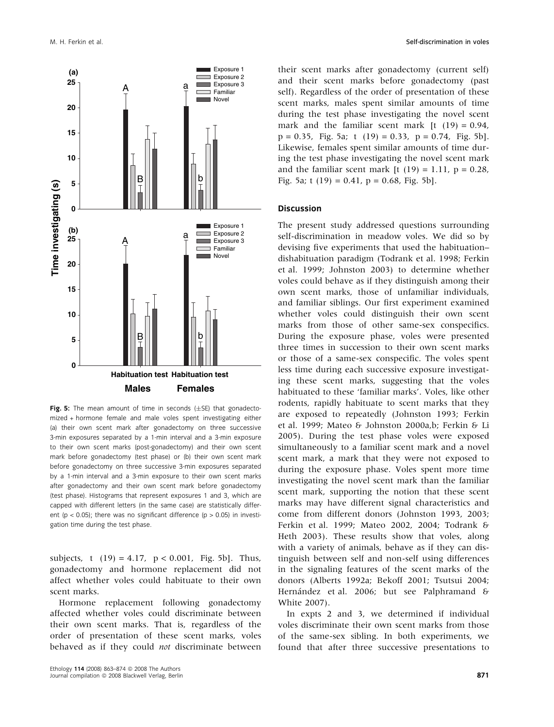

**Fig. 5:** The mean amount of time in seconds ( $\pm$ SE) that gonadectomized + hormone female and male voles spent investigating either (a) their own scent mark after gonadectomy on three successive 3-min exposures separated by a 1-min interval and a 3-min exposure to their own scent marks (post-gonadectomy) and their own scent mark before gonadectomy (test phase) or (b) their own scent mark before gonadectomy on three successive 3-min exposures separated by a 1-min interval and a 3-min exposure to their own scent marks after gonadectomy and their own scent mark before gonadectomy (test phase). Histograms that represent exposures 1 and 3, which are capped with different letters (in the same case) are statistically different ( $p < 0.05$ ); there was no significant difference ( $p > 0.05$ ) in investigation time during the test phase.

subjects, t  $(19) = 4.17$ ,  $p < 0.001$ , Fig. 5b]. Thus, gonadectomy and hormone replacement did not affect whether voles could habituate to their own scent marks.

Hormone replacement following gonadectomy affected whether voles could discriminate between their own scent marks. That is, regardless of the order of presentation of these scent marks, voles behaved as if they could not discriminate between

their scent marks after gonadectomy (current self) and their scent marks before gonadectomy (past self). Regardless of the order of presentation of these scent marks, males spent similar amounts of time during the test phase investigating the novel scent mark and the familiar scent mark  $[t (19) = 0.94,$  $p = 0.35$ , Fig. 5a; t (19) = 0.33,  $p = 0.74$ , Fig. 5b]. Likewise, females spent similar amounts of time during the test phase investigating the novel scent mark and the familiar scent mark  $[t (19) = 1.11, p = 0.28,$ Fig. 5a; t (19) = 0.41,  $p = 0.68$ , Fig. 5b].

### Discussion

The present study addressed questions surrounding self-discrimination in meadow voles. We did so by devising five experiments that used the habituation– dishabituation paradigm (Todrank et al. 1998; Ferkin et al. 1999; Johnston 2003) to determine whether voles could behave as if they distinguish among their own scent marks, those of unfamiliar individuals, and familiar siblings. Our first experiment examined whether voles could distinguish their own scent marks from those of other same-sex conspecifics. During the exposure phase, voles were presented three times in succession to their own scent marks or those of a same-sex conspecific. The voles spent less time during each successive exposure investigating these scent marks, suggesting that the voles habituated to these 'familiar marks'. Voles, like other rodents, rapidly habituate to scent marks that they are exposed to repeatedly (Johnston 1993; Ferkin et al. 1999; Mateo & Johnston 2000a,b; Ferkin & Li 2005). During the test phase voles were exposed simultaneously to a familiar scent mark and a novel scent mark, a mark that they were not exposed to during the exposure phase. Voles spent more time investigating the novel scent mark than the familiar scent mark, supporting the notion that these scent marks may have different signal characteristics and come from different donors (Johnston 1993, 2003; Ferkin et al. 1999; Mateo 2002, 2004; Todrank & Heth 2003). These results show that voles, along with a variety of animals, behave as if they can distinguish between self and non-self using differences in the signaling features of the scent marks of the donors (Alberts 1992a; Bekoff 2001; Tsutsui 2004; Hernández et al. 2006; but see Palphramand & White 2007).

In expts 2 and 3, we determined if individual voles discriminate their own scent marks from those of the same-sex sibling. In both experiments, we found that after three successive presentations to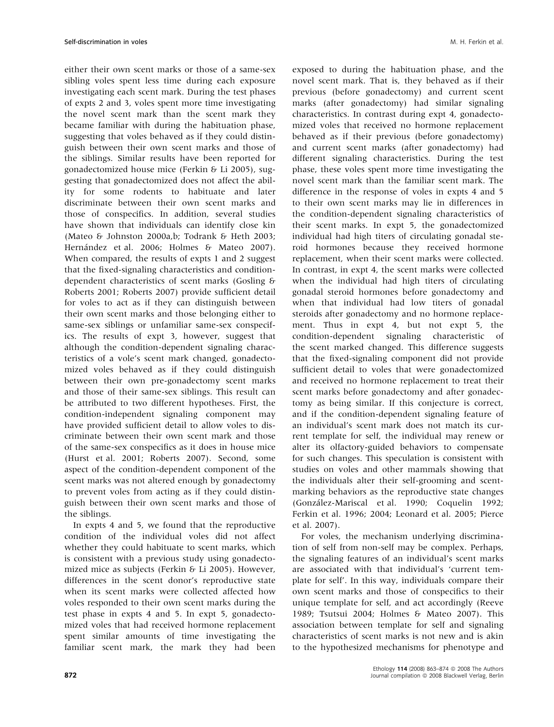either their own scent marks or those of a same-sex sibling voles spent less time during each exposure investigating each scent mark. During the test phases of expts 2 and 3, voles spent more time investigating the novel scent mark than the scent mark they became familiar with during the habituation phase, suggesting that voles behaved as if they could distinguish between their own scent marks and those of the siblings. Similar results have been reported for gonadectomized house mice (Ferkin & Li 2005), suggesting that gonadectomized does not affect the ability for some rodents to habituate and later discriminate between their own scent marks and those of conspecifics. In addition, several studies have shown that individuals can identify close kin (Mateo & Johnston 2000a,b; Todrank & Heth 2003; Hernández et al. 2006; Holmes & Mateo 2007). When compared, the results of expts 1 and 2 suggest that the fixed-signaling characteristics and conditiondependent characteristics of scent marks (Gosling & Roberts 2001; Roberts 2007) provide sufficient detail for voles to act as if they can distinguish between their own scent marks and those belonging either to same-sex siblings or unfamiliar same-sex conspecifics. The results of expt 3, however, suggest that although the condition-dependent signaling characteristics of a vole's scent mark changed, gonadectomized voles behaved as if they could distinguish between their own pre-gonadectomy scent marks and those of their same-sex siblings. This result can be attributed to two different hypotheses. First, the condition-independent signaling component may have provided sufficient detail to allow voles to discriminate between their own scent mark and those of the same-sex conspecifics as it does in house mice (Hurst et al. 2001; Roberts 2007). Second, some aspect of the condition-dependent component of the scent marks was not altered enough by gonadectomy to prevent voles from acting as if they could distinguish between their own scent marks and those of the siblings.

In expts 4 and 5, we found that the reproductive condition of the individual voles did not affect whether they could habituate to scent marks, which is consistent with a previous study using gonadectomized mice as subjects (Ferkin & Li 2005). However, differences in the scent donor's reproductive state when its scent marks were collected affected how voles responded to their own scent marks during the test phase in expts 4 and 5. In expt 5, gonadectomized voles that had received hormone replacement spent similar amounts of time investigating the familiar scent mark, the mark they had been exposed to during the habituation phase, and the novel scent mark. That is, they behaved as if their previous (before gonadectomy) and current scent marks (after gonadectomy) had similar signaling characteristics. In contrast during expt 4, gonadectomized voles that received no hormone replacement behaved as if their previous (before gonadectomy) and current scent marks (after gonadectomy) had different signaling characteristics. During the test phase, these voles spent more time investigating the novel scent mark than the familiar scent mark. The difference in the response of voles in expts 4 and 5 to their own scent marks may lie in differences in the condition-dependent signaling characteristics of their scent marks. In expt 5, the gonadectomized individual had high titers of circulating gonadal steroid hormones because they received hormone replacement, when their scent marks were collected. In contrast, in expt 4, the scent marks were collected when the individual had high titers of circulating gonadal steroid hormones before gonadectomy and when that individual had low titers of gonadal steroids after gonadectomy and no hormone replacement. Thus in expt 4, but not expt 5, the condition-dependent signaling characteristic of the scent marked changed. This difference suggests that the fixed-signaling component did not provide sufficient detail to voles that were gonadectomized and received no hormone replacement to treat their scent marks before gonadectomy and after gonadectomy as being similar. If this conjecture is correct, and if the condition-dependent signaling feature of an individual's scent mark does not match its current template for self, the individual may renew or alter its olfactory-guided behaviors to compensate for such changes. This speculation is consistent with studies on voles and other mammals showing that the individuals alter their self-grooming and scentmarking behaviors as the reproductive state changes (González-Mariscal et al. 1990; Coquelin 1992; Ferkin et al. 1996; 2004; Leonard et al. 2005; Pierce et al. 2007).

For voles, the mechanism underlying discrimination of self from non-self may be complex. Perhaps, the signaling features of an individual's scent marks are associated with that individual's 'current template for self'. In this way, individuals compare their own scent marks and those of conspecifics to their unique template for self, and act accordingly (Reeve 1989; Tsutsui 2004; Holmes & Mateo 2007). This association between template for self and signaling characteristics of scent marks is not new and is akin to the hypothesized mechanisms for phenotype and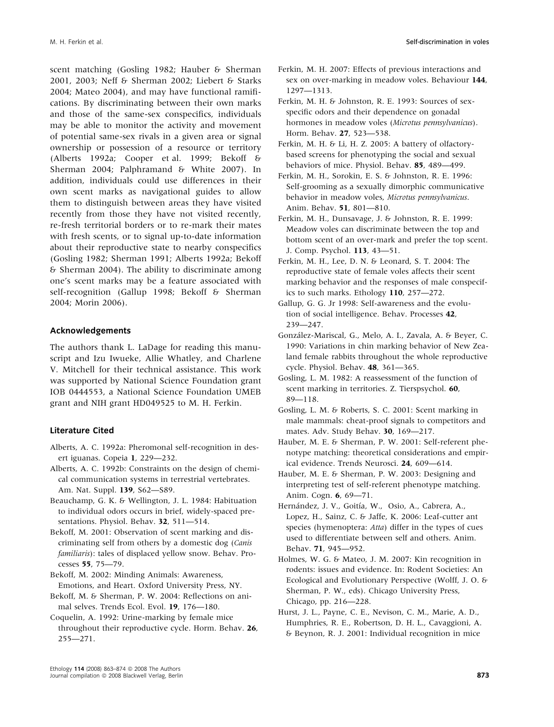scent matching (Gosling 1982; Hauber & Sherman 2001, 2003; Neff & Sherman 2002; Liebert & Starks 2004; Mateo 2004), and may have functional ramifications. By discriminating between their own marks and those of the same-sex conspecifics, individuals may be able to monitor the activity and movement of potential same-sex rivals in a given area or signal ownership or possession of a resource or territory (Alberts 1992a; Cooper et al. 1999; Bekoff & Sherman 2004; Palphramand & White 2007). In addition, individuals could use differences in their own scent marks as navigational guides to allow them to distinguish between areas they have visited recently from those they have not visited recently, re-fresh territorial borders or to re-mark their mates with fresh scents, or to signal up-to-date information about their reproductive state to nearby conspecifics (Gosling 1982; Sherman 1991; Alberts 1992a; Bekoff & Sherman 2004). The ability to discriminate among one's scent marks may be a feature associated with self-recognition (Gallup 1998; Bekoff & Sherman 2004; Morin 2006).

### Acknowledgements

The authors thank L. LaDage for reading this manuscript and Izu Iwueke, Allie Whatley, and Charlene V. Mitchell for their technical assistance. This work was supported by National Science Foundation grant IOB 0444553, a National Science Foundation UMEB grant and NIH grant HD049525 to M. H. Ferkin.

# Literature Cited

- Alberts, A. C. 1992a: Pheromonal self-recognition in desert iguanas. Copeia 1, 229—232.
- Alberts, A. C. 1992b: Constraints on the design of chemical communication systems in terrestrial vertebrates. Am. Nat. Suppl. 139, S62—S89.
- Beauchamp, G. K. & Wellington, J. L. 1984: Habituation to individual odors occurs in brief, widely-spaced presentations. Physiol. Behav. 32, 511-514.
- Bekoff, M. 2001: Observation of scent marking and discriminating self from others by a domestic dog (Canis familiaris): tales of displaced yellow snow. Behav. Processes 55, 75—79.
- Bekoff, M. 2002: Minding Animals: Awareness, Emotions, and Heart. Oxford University Press, NY.
- Bekoff, M. & Sherman, P. W. 2004: Reflections on animal selves. Trends Ecol. Evol. 19, 176—180.
- Coquelin, A. 1992: Urine-marking by female mice throughout their reproductive cycle. Horm. Behav. 26, 255—271.
- Ferkin, M. H. 2007: Effects of previous interactions and sex on over-marking in meadow voles. Behaviour 144, 1297—1313.
- Ferkin, M. H. & Johnston, R. E. 1993: Sources of sexspecific odors and their dependence on gonadal hormones in meadow voles (Microtus pennsylvanicus). Horm. Behav. 27, 523—538.
- Ferkin, M. H. & Li, H. Z. 2005: A battery of olfactorybased screens for phenotyping the social and sexual behaviors of mice. Physiol. Behav. 85, 489—499.
- Ferkin, M. H., Sorokin, E. S. & Johnston, R. E. 1996: Self-grooming as a sexually dimorphic communicative behavior in meadow voles, Microtus pennsylvanicus. Anim. Behav. 51, 801—810.
- Ferkin, M. H., Dunsavage, J. & Johnston, R. E. 1999: Meadow voles can discriminate between the top and bottom scent of an over-mark and prefer the top scent. J. Comp. Psychol. 113, 43—51.
- Ferkin, M. H., Lee, D. N. & Leonard, S. T. 2004: The reproductive state of female voles affects their scent marking behavior and the responses of male conspecifics to such marks. Ethology 110, 257—272.
- Gallup, G. G. Jr 1998: Self-awareness and the evolution of social intelligence. Behav. Processes 42, 239—247.
- González-Mariscal, G., Melo, A. I., Zavala, A. & Beyer, C. 1990: Variations in chin marking behavior of New Zealand female rabbits throughout the whole reproductive cycle. Physiol. Behav. 48, 361—365.
- Gosling, L. M. 1982: A reassessment of the function of scent marking in territories. Z. Tierspsychol. 60, 89—118.
- Gosling, L. M. & Roberts, S. C. 2001: Scent marking in male mammals: cheat-proof signals to competitors and mates. Adv. Study Behav. 30, 169—217.
- Hauber, M. E. & Sherman, P. W. 2001: Self-referent phenotype matching: theoretical considerations and empirical evidence. Trends Neurosci. 24, 609—614.
- Hauber, M. E. & Sherman, P. W. 2003: Designing and interpreting test of self-referent phenotype matching. Anim. Cogn. 6, 69—71.
- Hernández, J. V., Goitía, W., Osio, A., Cabrera, A., Lopez, H., Sainz, C. & Jaffe, K. 2006: Leaf-cutter ant species (hymenoptera: Atta) differ in the types of cues used to differentiate between self and others. Anim. Behav. 71, 945—952.
- Holmes, W. G. & Mateo, J. M. 2007: Kin recognition in rodents: issues and evidence. In: Rodent Societies: An Ecological and Evolutionary Perspective (Wolff, J. O. & Sherman, P. W., eds). Chicago University Press, Chicago, pp. 216—228.
- Hurst, J. L., Payne, C. E., Nevison, C. M., Marie, A. D., Humphries, R. E., Robertson, D. H. L., Cavaggioni, A. & Beynon, R. J. 2001: Individual recognition in mice